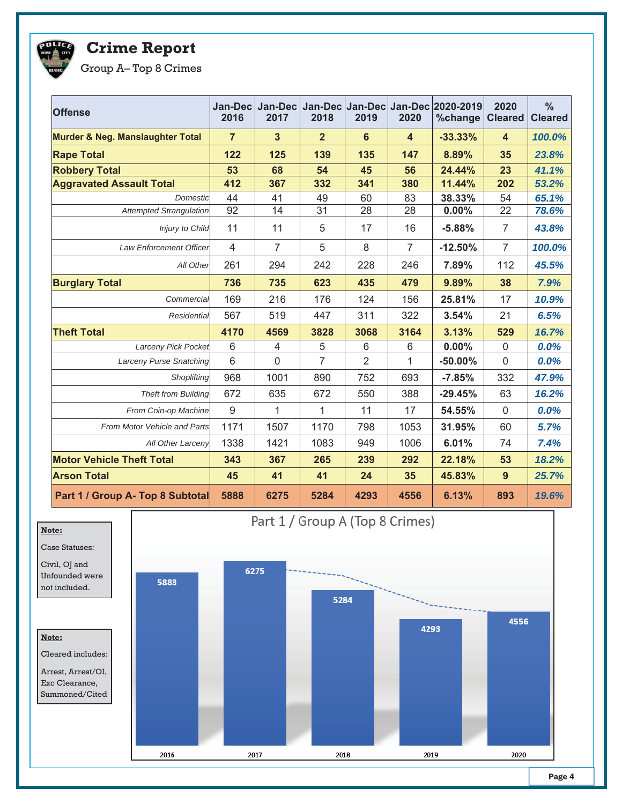

## **Crime Report**

Group A– Top 8 Crimes

| <b>Offense</b>                              | Jan-Dec<br>2016 | <b>Jan-Decl</b><br>2017 | 2018           | 2019           | 2020                    | Jan-Dec Jan-Dec Jan-Dec 2020-2019<br>%change | 2020<br><b>Cleared</b>  | $\frac{0}{0}$<br><b>Cleared</b> |
|---------------------------------------------|-----------------|-------------------------|----------------|----------------|-------------------------|----------------------------------------------|-------------------------|---------------------------------|
| <b>Murder &amp; Neg. Manslaughter Total</b> | $\overline{7}$  | $\mathbf{3}$            | $\overline{2}$ | $6\phantom{a}$ | $\overline{\mathbf{4}}$ | $-33.33%$                                    | $\overline{\mathbf{4}}$ | 100.0%                          |
| <b>Rape Total</b>                           | 122             | 125                     | 139            | 135            | 147                     | 8.89%                                        | 35                      | 23.8%                           |
| <b>Robbery Total</b>                        | 53              | 68                      | 54             | 45             | 56                      | 24.44%                                       | 23                      | 41.1%                           |
| <b>Aggravated Assault Total</b>             | 412             | 367                     | 332            | 341            | 380                     | 11.44%                                       | 202                     | 53.2%                           |
| Domestic                                    | 44              | 41                      | 49             | 60             | 83                      | 38.33%                                       | 54                      | 65.1%                           |
| <b>Attempted Strangulation</b>              | 92              | 14                      | 31             | 28             | 28                      | 0.00%                                        | 22                      | 78.6%                           |
| Injury to Child                             | 11              | 11                      | 5              | 17             | 16                      | $-5.88%$                                     | $\overline{7}$          | 43.8%                           |
| <b>Law Enforcement Officer</b>              | $\overline{4}$  | $\overline{7}$          | 5              | 8              | $\overline{7}$          | $-12.50%$                                    | $\overline{7}$          | 100.0%                          |
| All Other                                   | 261             | 294                     | 242            | 228            | 246                     | 7.89%                                        | 112                     | 45.5%                           |
| <b>Burglary Total</b>                       | 736             | 735                     | 623            | 435            | 479                     | 9.89%                                        | 38                      | 7.9%                            |
| Commercial                                  | 169             | 216                     | 176            | 124            | 156                     | 25.81%                                       | 17                      | 10.9%                           |
| Residential                                 | 567             | 519                     | 447            | 311            | 322                     | 3.54%                                        | 21                      | 6.5%                            |
| <b>Theft Total</b>                          | 4170            | 4569                    | 3828           | 3068           | 3164                    | 3.13%                                        | 529                     | 16.7%                           |
| <b>Larceny Pick Pocket</b>                  | 6               | $\overline{4}$          | $\mathbf 5$    | $\,6$          | 6                       | 0.00%                                        | $\pmb{0}$               | 0.0%                            |
| <b>Larceny Purse Snatching</b>              | $6\phantom{1}$  | $\mathbf 0$             | $\overline{7}$ | $\overline{2}$ | 1                       | $-50.00%$                                    | $\mathbf 0$             | 0.0%                            |
| Shoplifting                                 | 968             | 1001                    | 890            | 752            | 693                     | $-7.85%$                                     | 332                     | 47.9%                           |
| <b>Theft from Building</b>                  | 672             | 635                     | 672            | 550            | 388                     | $-29.45%$                                    | 63                      | 16.2%                           |
| From Coin-op Machine                        | $9\,$           | $\mathbf{1}$            | $\mathbf 1$    | 11             | 17                      | 54.55%                                       | $\mathsf{O}\xspace$     | 0.0%                            |
| From Motor Vehicle and Parts                | 1171            | 1507                    | 1170           | 798            | 1053                    | 31.95%                                       | 60                      | 5.7%                            |
| All Other Larceny                           | 1338            | 1421                    | 1083           | 949            | 1006                    | 6.01%                                        | 74                      | 7.4%                            |
| <b>Motor Vehicle Theft Total</b>            | 343             | 367                     | 265            | 239            | 292                     | 22.18%                                       | 53                      | 18.2%                           |
| <b>Arson Total</b>                          | 45              | 41                      | 41             | 24             | 35                      | 45.83%                                       | 9                       | 25.7%                           |
| Part 1 / Group A- Top 8 Subtotal            | 5888            | 6275                    | 5284           | 4293           | 4556                    | 6.13%                                        | 893                     | 19.6%                           |



Page 4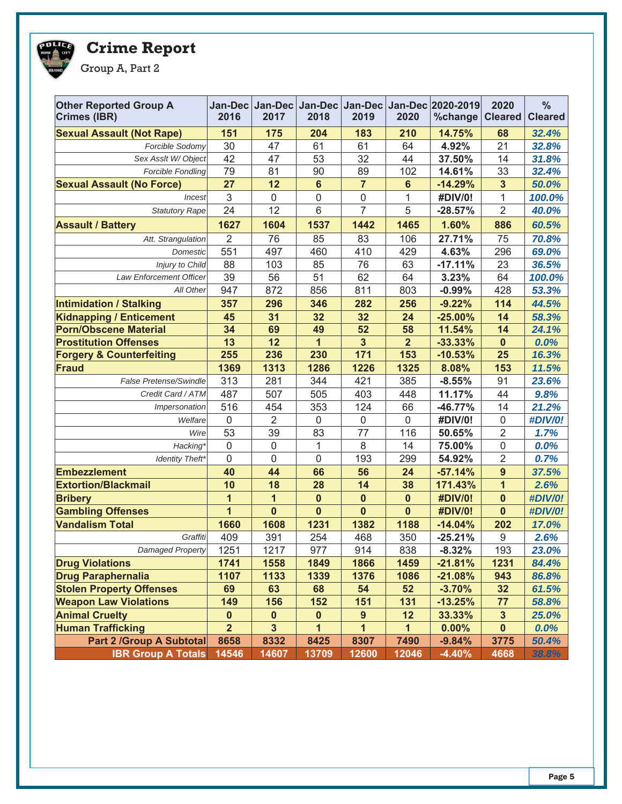## **POLICE**

**Crime Report**

Group A, Part 2

| <b>Other Reported Group A</b><br><b>Crimes (IBR)</b> | 2016           | 2017                    | 2018            | 2019           | 2020           | Jan-Dec Jan-Dec Jan-Dec Jan-Dec Jan-Dec 2020-2019<br>%change | 2020<br><b>Cleared</b> | $\frac{0}{0}$<br><b>Cleared</b> |
|------------------------------------------------------|----------------|-------------------------|-----------------|----------------|----------------|--------------------------------------------------------------|------------------------|---------------------------------|
| <b>Sexual Assault (Not Rape)</b>                     | 151            | 175                     | 204             | 183            | 210            | 14.75%                                                       | 68                     | 32.4%                           |
| Forcible Sodomy                                      | 30             | 47                      | 61              | 61             | 64             | 4.92%                                                        | 21                     | 32.8%                           |
| Sex Asslt W/Object                                   | 42             | 47                      | 53              | 32             | 44             | 37.50%                                                       | 14                     | 31.8%                           |
| <b>Forcible Fondling</b>                             | 79             | 81                      | 90              | 89             | 102            | 14.61%                                                       | 33                     | 32.4%                           |
| <b>Sexual Assault (No Force)</b>                     | 27             | 12                      | $6\phantom{1}6$ | $\overline{7}$ | $6\phantom{1}$ | $-14.29%$                                                    | 3                      | 50.0%                           |
| Incest                                               | 3              | 0                       | $\mathbf 0$     | $\overline{0}$ | $\mathbf{1}$   | #DIV/0!                                                      | 1                      | 100.0%                          |
| <b>Statutory Rape</b>                                | 24             | 12                      | 6               | $\overline{7}$ | 5              | $-28.57%$                                                    | $\overline{2}$         | 40.0%                           |
| <b>Assault / Battery</b>                             | 1627           | 1604                    | 1537            | 1442           | 1465           | 1.60%                                                        | 886                    | 60.5%                           |
| Att. Strangulation                                   | 2              | 76                      | 85              | 83             | 106            | 27.71%                                                       | 75                     | 70.8%                           |
| Domestic                                             | 551            | 497                     | 460             | 410            | 429            | 4.63%                                                        | 296                    | 69.0%                           |
| Injury to Child                                      | 88             | 103                     | 85              | 76             | 63             | $-17.11%$                                                    | 23                     | 36.5%                           |
| Law Enforcement Officer                              | 39             | 56                      | 51              | 62             | 64             | 3.23%                                                        | 64                     | 100.0%                          |
| All Other                                            | 947            | 872                     | 856             | 811            | 803            | $-0.99%$                                                     | 428                    | 53.3%                           |
| <b>Intimidation / Stalking</b>                       | 357            | 296                     | 346             | 282            | 256            | $-9.22%$                                                     | 114                    | 44.5%                           |
| <b>Kidnapping / Enticement</b>                       | 45             | 31                      | 32              | 32             | 24             | $-25.00%$                                                    | 14                     | 58.3%                           |
| <b>Porn/Obscene Material</b>                         | 34             | 69                      | 49              | 52             | 58             | 11.54%                                                       | 14                     | 24.1%                           |
| <b>Prostitution Offenses</b>                         | 13             | 12                      | $\mathbf{1}$    | $\overline{3}$ | $\overline{2}$ | $-33.33%$                                                    | $\mathbf 0$            | 0.0%                            |
| <b>Forgery &amp; Counterfeiting</b>                  | 255            | 236                     | 230             | 171            | 153            | $-10.53%$                                                    | 25                     | 16.3%                           |
| <b>Fraud</b>                                         | 1369           | 1313                    | 1286            | 1226           | 1325           | 8.08%                                                        | 153                    | 11.5%                           |
| False Pretense/Swindle                               | 313            | 281                     | 344             | 421            | 385            | $-8.55%$                                                     | 91                     | 23.6%                           |
| Credit Card / ATM                                    | 487            | 507                     | 505             | 403            | 448            | 11.17%                                                       | 44                     | 9.8%                            |
| Impersonation                                        | 516            | 454                     | 353             | 124            | 66             | $-46.77%$                                                    | 14                     | 21.2%                           |
| Welfare                                              | $\mathbf 0$    | $\overline{2}$          | $\mathbf 0$     | $\mathbf 0$    | $\mathbf 0$    | #DIV/0!                                                      | $\mathbf 0$            | #DIV/0!                         |
| Wire                                                 | 53             | 39                      | 83              | 77             | 116            | 50.65%                                                       | $\overline{2}$         | 1.7%                            |
| <b>Hacking</b>                                       | $\mathbf 0$    | $\mathbf 0$             | 1               | 8              | 14             | 75.00%                                                       | $\mathbf 0$            | 0.0%                            |
| <b>Identity Theft</b>                                | $\mathbf 0$    | $\mathbf 0$             | $\mathbf 0$     | 193            | 299            | 54.92%                                                       | $\overline{2}$         | 0.7%                            |
| <b>Embezzlement</b>                                  | 40             | 44                      | 66              | 56             | 24             | $-57.14%$                                                    | $\overline{9}$         | 37.5%                           |
| <b>Extortion/Blackmail</b>                           | 10             | 18                      | 28              | 14             | 38             | 171.43%                                                      | $\overline{1}$         | 2.6%                            |
| <b>Bribery</b>                                       | 1              | 1                       | $\mathbf 0$     | $\mathbf 0$    | $\mathbf 0$    | #DIV/0!                                                      | $\mathbf 0$            | #DIV/0!                         |
| <b>Gambling Offenses</b>                             | $\overline{1}$ | $\bf{0}$                | $\bf{0}$        | $\mathbf{0}$   | $\mathbf 0$    | #DIV/0!                                                      | $\mathbf{0}$           | #DIV/0!                         |
| <b>Vandalism Total</b>                               | 1660           | 1608                    | 1231            | 1382           | 1188           | $-14.04%$                                                    | 202                    | 17.0%                           |
| Graffiti                                             | 409            | 391                     | 254             | 468            | 350            | $-25.21%$                                                    | 9                      | 2.6%                            |
| Damaged Property                                     | 1251           | 1217                    | 977             | 914            | 838            | $-8.32%$                                                     | 193                    | 23.0%                           |
| <b>Drug Violations</b>                               | 1741           | 1558                    | 1849            | 1866           | 1459           | $-21.81%$                                                    | 1231                   | 84.4%                           |
| <b>Drug Paraphernalia</b>                            | 1107           | 1133                    | 1339            | 1376           | 1086           | $-21.08%$                                                    | 943                    | 86.8%                           |
| <b>Stolen Property Offenses</b>                      | 69             | 63                      | 68              | 54             | 52             | $-3.70%$                                                     | 32                     | 61.5%                           |
| <b>Weapon Law Violations</b>                         | 149            | 156                     | 152             | 151            | 131            | $-13.25%$                                                    | 77                     | 58.8%                           |
| <b>Animal Cruelty</b>                                | $\pmb{0}$      | $\pmb{0}$               | $\pmb{0}$       | 9              | 12             | 33.33%                                                       | 3                      | 25.0%                           |
| <b>Human Trafficking</b>                             | $\overline{2}$ | $\overline{\mathbf{3}}$ | 1               | 1              | 1              | 0.00%                                                        | $\mathbf 0$            | 0.0%                            |
| <b>Part 2 /Group A Subtotal</b>                      | 8658           | 8332                    | 8425            | 8307           | 7490           | $-9.84%$                                                     | 3775                   | 50.4%                           |
| <b>IBR Group A Totals</b>                            | 14546          | 14607                   | 13709           | 12600          | 12046          | $-4.40%$                                                     | 4668                   | 38.8%                           |